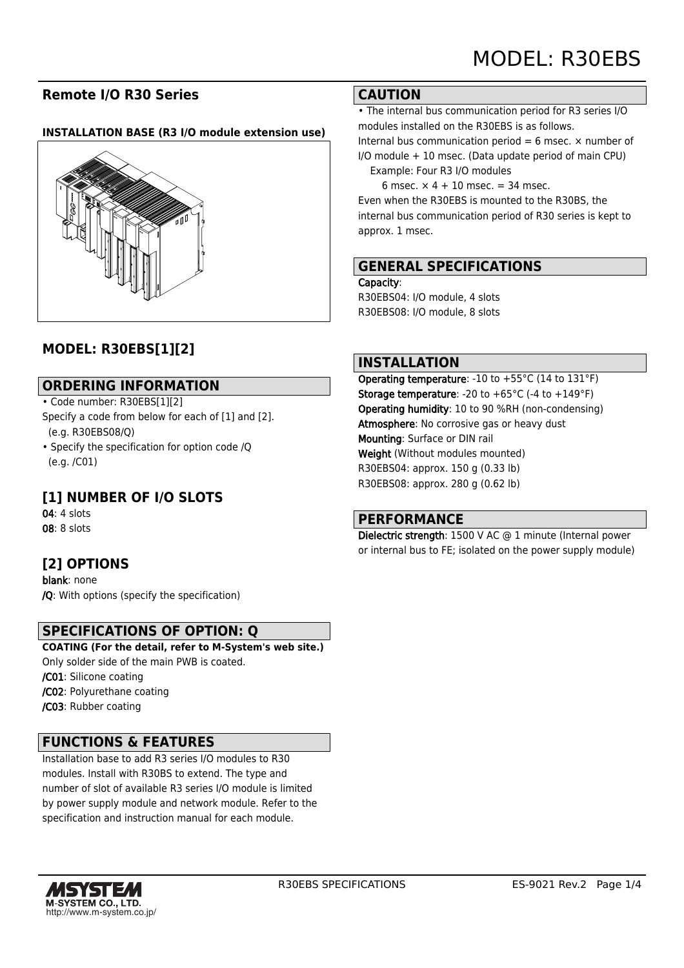## **Remote I/O R30 Series**

#### **INSTALLATION BASE (R3 I/O module extension use)**



# **MODEL: R30EBS[1][2]**

## **ORDERING INFORMATION**

#### • Code number: R30EBS[1][2]

- Specify a code from below for each of [1] and [2]. (e.g. R30EBS08/Q)
- Specify the specification for option code /Q (e.g. /C01)

# **[1] NUMBER OF I/O SLOTS**

04: 4 slots 08: 8 slots

## **[2] OPTIONS**

blank: none /Q: With options (specify the specification)

## **SPECIFICATIONS OF OPTION: Q**

**COATING (For the detail, refer to M-System's web site.)** Only solder side of the main PWB is coated. /C01: Silicone coating /C02: Polyurethane coating

/C03: Rubber coating

## **FUNCTIONS & FEATURES**

Installation base to add R3 series I/O modules to R30 modules. Install with R30BS to extend. The type and number of slot of available R3 series I/O module is limited by power supply module and network module. Refer to the specification and instruction manual for each module.

#### **CAUTION**

• The internal bus communication period for R3 series I/O modules installed on the R30EBS is as follows.

Internal bus communication period = 6 msec.  $\times$  number of I/O module + 10 msec. (Data update period of main CPU)

Example: Four R3 I/O modules

6 msec.  $\times$  4 + 10 msec. = 34 msec. Even when the R30EBS is mounted to the R30BS, the internal bus communication period of R30 series is kept to approx. 1 msec.

## **GENERAL SPECIFICATIONS**

Capacity:

R30EBS04: I/O module, 4 slots R30EBS08: I/O module, 8 slots

#### **INSTALLATION**

Operating temperature: -10 to +55°C (14 to 131°F) **Storage temperature:** -20 to +65 $^{\circ}$ C (-4 to +149 $^{\circ}$ F) Operating humidity: 10 to 90 %RH (non-condensing) Atmosphere: No corrosive gas or heavy dust Mounting: Surface or DIN rail Weight (Without modules mounted) R30EBS04: approx. 150 g (0.33 lb) R30EBS08: approx. 280 g (0.62 lb)

## **PERFORMANCE**

Dielectric strength: 1500 V AC @ 1 minute (Internal power or internal bus to FE; isolated on the power supply module)

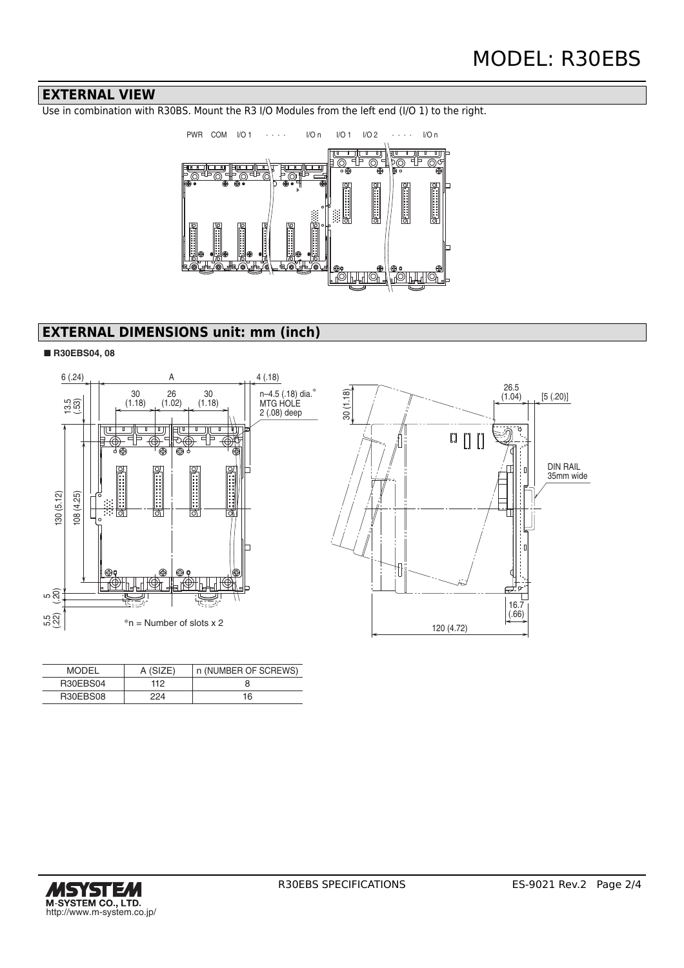#### **EXTERNAL VIEW**

Use in combination with R30BS. Mount the R3 I/O Modules from the left end (I/O 1) to the right.



# **EXTERNAL DIMENSIONS unit: mm (inch)**

#### ■ **R30EBS04, 08**



| <b>MODEL</b> | A(SIZF) | n (NUMBER OF SCREWS) |
|--------------|---------|----------------------|
| R30EBS04     | 112     |                      |
| R30EBS08     | 224     | 16                   |

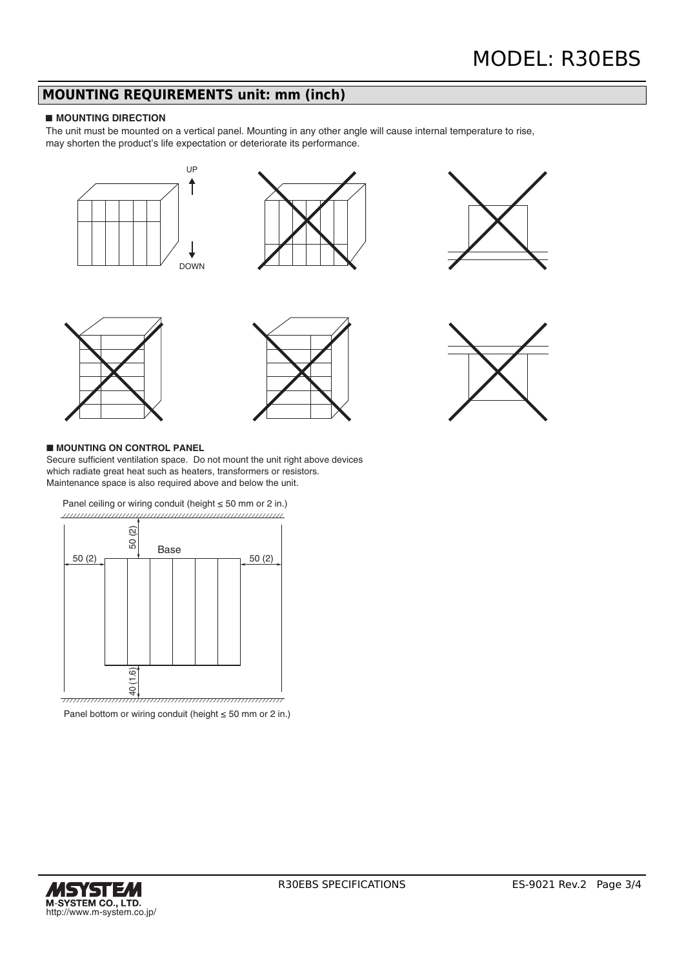# **MOUNTING REQUIREMENTS unit: mm (inch)**

#### ■ **MOUNTING DIRECTION**

The unit must be mounted on a vertical panel. Mounting in any other angle will cause internal temperature to rise, may shorten the product's life expectation or deteriorate its performance.











#### ■ **MOUNTING ON CONTROL PANEL**

Secure sufficient ventilation space. Do not mount the unit right above devices which radiate great heat such as heaters, transformers or resistors. Maintenance space is also required above and below the unit.



Panel bottom or wiring conduit (height ≤ 50 mm or 2 in.)